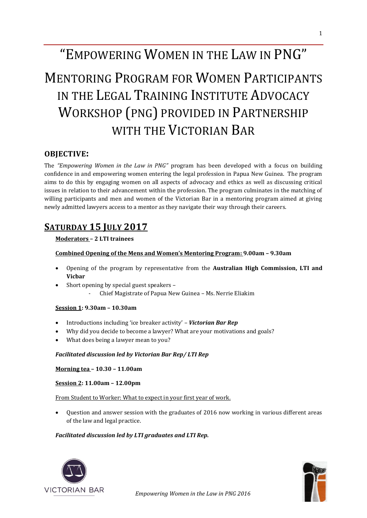# "EMPOWERING WOMEN IN THE LAW IN PNG"

# MENTORING PROGRAM FOR WOMEN PARTICIPANTS IN THE LEGAL TRAINING INSTITUTE ADVOCACY WORKSHOP (PNG) PROVIDED IN PARTNERSHIP WITH THE VICTORIAN BAR

## **OBJECTIVE:**

The *"Empowering Women in the Law in PNG"* program has been developed with a focus on building confidence in and empowering women entering the legal profession in Papua New Guinea. The program aims to do this by engaging women on all aspects of advocacy and ethics as well as discussing critical issues in relation to their advancement within the profession. The program culminates in the matching of willing participants and men and women of the Victorian Bar in a mentoring program aimed at giving newly admitted lawyers access to a mentor as they navigate their way through their careers.

# **SATURDAY 15 JULY 2017**

### **Moderators – 2 LTI trainees**

#### **Combined Opening of the Mens and Women's Mentoring Program: 9.00am – 9.30am**

- Opening of the program by representative from the **Australian High Commission, LTI and Vicbar**
- Short opening by special guest speakers
	- Chief Magistrate of Papua New Guinea Ms. Nerrie Eliakim

#### **Session 1: 9.30am – 10.30am**

- Introductions including 'ice breaker activity' *Victorian Bar Rep*
- Why did you decide to become a lawyer? What are your motivations and goals?
- What does being a lawyer mean to you?

#### *Facilitated discussion led by Victorian Bar Rep/ LTI Rep*

**Morning tea – 10.30 – 11.00am**

**Session 2: 11.00am – 12.00pm** 

From Student to Worker: What to expect in your first year of work.

• Question and answer session with the graduates of 2016 now working in various different areas of the law and legal practice.

### *Facilitated discussion led by LTI graduates and LTI Rep.*



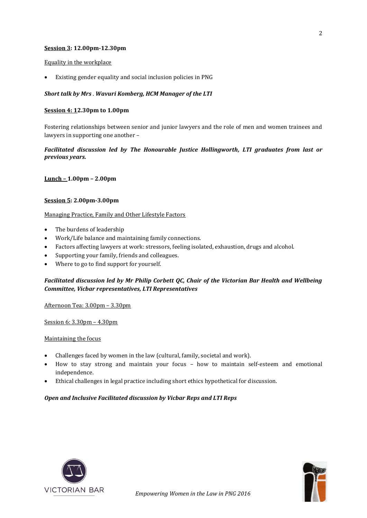#### **Session 3: 12.00pm-12.30pm**

#### Equality in the workplace

• Existing gender equality and social inclusion policies in PNG

#### *Short talk by Mrs* . *Wavuri Komberg, HCM Manager of the LTI*

#### **Session 4: 12.30pm to 1.00pm**

Fostering relationships between senior and junior lawyers and the role of men and women trainees and lawyers in supporting one another –

#### *Facilitated discussion led by The Honourable Justice Hollingworth, LTI graduates from last or previous years.*

**Lunch – 1.00pm – 2.00pm**

#### **Session 5: 2.00pm-3.00pm**

#### Managing Practice, Family and Other Lifestyle Factors

- The burdens of leadership
- Work/Life balance and maintaining family connections.
- Factors affecting lawyers at work: stressors, feeling isolated, exhaustion, drugs and alcohol.
- Supporting your family, friends and colleagues.
- Where to go to find support for yourself.

#### *Facilitated discussion led by Mr Philip Corbett QC, Chair of the Victorian Bar Health and Wellbeing Committee, Vicbar representatives, LTI Representatives*

#### Afternoon Tea: 3.00pm – 3.30pm

Session 6: 3.30pm – 4.30pm

#### Maintaining the focus

- Challenges faced by women in the law (cultural, family, societal and work).
- How to stay strong and maintain your focus how to maintain self-esteem and emotional independence.
- Ethical challenges in legal practice including short ethics hypothetical for discussion.

#### *Open and Inclusive Facilitated discussion by Vicbar Reps and LTI Reps*